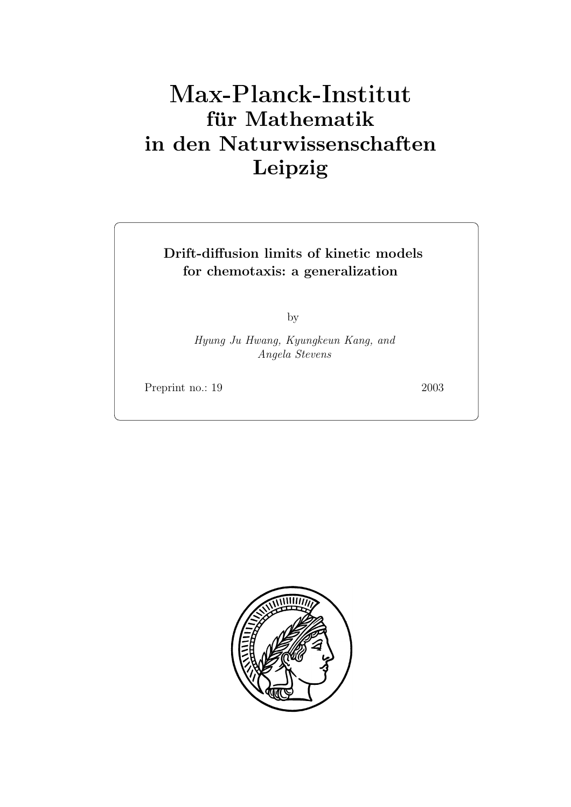# **für Mathematik in den Naturwissenschaften Leipzig**

**Drift-diffusion limits of kinetic models for chemotaxis: a generalization**

by

*Hyung Ju Hwang, Kyungkeun Kang, and Angela Stevens*

Preprint no.: 19 2003

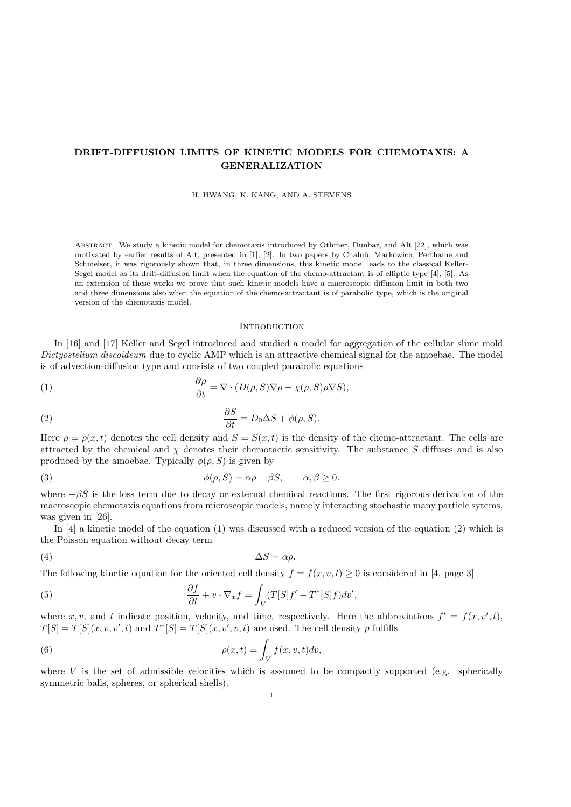# **DRIFT-DIFFUSION LIMITS OF KINETIC MODELS FOR CHEMOTAXIS: A GENERALIZATION**

H. HWANG, K. KANG, AND A. STEVENS

Abstract. We study a kinetic model for chemotaxis introduced by Othmer, Dunbar, and Alt [22], which was motivated by earlier results of Alt, presented in [1], [2]. In two papers by Chalub, Markowich, Perthame and Schmeiser, it was rigorously shown that, in three dimensions, this kinetic model leads to the classical Keller-Segel model as its drift-diffusion limit when the equation of the chemo-attractant is of elliptic type [4], [5]. As an extension of these works we prove that such kinetic models have a macroscopic diffusion limit in both two and three dimensions also when the equation of the chemo-attractant is of parabolic type, which is the original version of the chemotaxis model.

### **INTRODUCTION**

In [16] and [17] Keller and Segel introduced and studied a model for aggregation of the cellular slime mold *Dictyostelium discoideum* due to cyclic AMP which is an attractive chemical signal for the amoebae. The model is of advection-diffusion type and consists of two coupled parabolic equations

(1) 
$$
\frac{\partial \rho}{\partial t} = \nabla \cdot (D(\rho, S) \nabla \rho - \chi(\rho, S) \rho \nabla S),
$$

(2) 
$$
\frac{\partial S}{\partial t} = D_0 \Delta S + \phi(\rho, S).
$$

Here  $\rho = \rho(x, t)$  denotes the cell density and  $S = S(x, t)$  is the density of the chemo-attractant. The cells are attracted by the chemical and  $\chi$  denotes their chemotactic sensitivity. The substance S diffuses and is also produced by the amoebae. Typically  $\phi(\rho, S)$  is given by

(3) 
$$
\phi(\rho, S) = \alpha \rho - \beta S, \qquad \alpha, \beta \ge 0.
$$

where  $-\beta S$  is the loss term due to decay or external chemical reactions. The first rigorous derivation of the macroscopic chemotaxis equations from microscopic models, namely interacting stochastic many particle sytems, was given in [26].

In [4] a kinetic model of the equation (1) was discussed with a reduced version of the equation (2) which is the Poisson equation without decay term

$$
(4) \t-\Delta S = \alpha \rho.
$$

The following kinetic equation for the oriented cell density  $f = f(x, v, t) \ge 0$  is considered in [4, page 3]

(5) 
$$
\frac{\partial f}{\partial t} + v \cdot \nabla_x f = \int_V (T[S]f' - T^*[S]f) dv',
$$

where x, v, and t indicate position, velocity, and time, respectively. Here the abbreviations  $f' = f(x, v', t)$ ,  $T[S] = T[S](x, v, v', t)$  and  $T^*[S] = T[S](x, v', v, t)$  are used. The cell density  $\rho$  fulfills

(6) 
$$
\rho(x,t) = \int_V f(x,v,t)dv,
$$

where V is the set of admissible velocities which is assumed to be compactly supported (e.g. spherically symmetric balls, spheres, or spherical shells).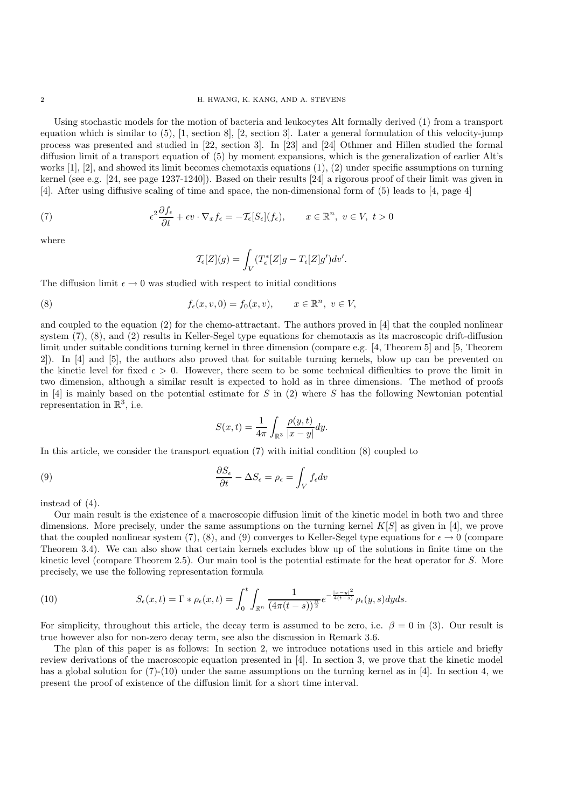Using stochastic models for the motion of bacteria and leukocytes Alt formally derived (1) from a transport equation which is similar to (5), [1, section 8], [2, section 3]. Later a general formulation of this velocity-jump process was presented and studied in [22, section 3]. In [23] and [24] Othmer and Hillen studied the formal diffusion limit of a transport equation of (5) by moment expansions, which is the generalization of earlier Alt's works [1], [2], and showed its limit becomes chemotaxis equations (1), (2) under specific assumptions on turning kernel (see e.g. [24, see page 1237-1240]). Based on their results [24] a rigorous proof of their limit was given in [4]. After using diffusive scaling of time and space, the non-dimensional form of (5) leads to [4, page 4]

(7) 
$$
\epsilon^2 \frac{\partial f_{\epsilon}}{\partial t} + \epsilon v \cdot \nabla_x f_{\epsilon} = -\mathcal{T}_{\epsilon}[S_{\epsilon}](f_{\epsilon}), \qquad x \in \mathbb{R}^n, \ v \in V, \ t > 0
$$

where

$$
\mathcal{T}_{\epsilon}[Z](g) = \int_{V} (T_{\epsilon}^{*}[Z]g - T_{\epsilon}[Z]g')dv'.
$$

The diffusion limit  $\epsilon \to 0$  was studied with respect to initial conditions

(8) 
$$
f_{\epsilon}(x,v,0) = f_0(x,v), \qquad x \in \mathbb{R}^n, v \in V,
$$

and coupled to the equation (2) for the chemo-attractant. The authors proved in [4] that the coupled nonlinear system (7), (8), and (2) results in Keller-Segel type equations for chemotaxis as its macroscopic drift-diffusion limit under suitable conditions turning kernel in three dimension (compare e.g. [4, Theorem 5] and [5, Theorem 2]). In [4] and [5], the authors also proved that for suitable turning kernels, blow up can be prevented on the kinetic level for fixed  $\epsilon > 0$ . However, there seem to be some technical difficulties to prove the limit in two dimension, although a similar result is expected to hold as in three dimensions. The method of proofs in [4] is mainly based on the potential estimate for S in (2) where S has the following Newtonian potential representation in  $\mathbb{R}^3$ , i.e.

$$
S(x,t) = \frac{1}{4\pi} \int_{\mathbb{R}^3} \frac{\rho(y,t)}{|x-y|} dy.
$$

In this article, we consider the transport equation (7) with initial condition (8) coupled to

(9) 
$$
\frac{\partial S_{\epsilon}}{\partial t} - \Delta S_{\epsilon} = \rho_{\epsilon} = \int_{V} f_{\epsilon} dv
$$

instead of (4).

Our main result is the existence of a macroscopic diffusion limit of the kinetic model in both two and three dimensions. More precisely, under the same assumptions on the turning kernel  $K[S]$  as given in [4], we prove that the coupled nonlinear system (7), (8), and (9) converges to Keller-Segel type equations for  $\epsilon \to 0$  (compare Theorem 3.4). We can also show that certain kernels excludes blow up of the solutions in finite time on the kinetic level (compare Theorem 2.5). Our main tool is the potential estimate for the heat operator for S. More precisely, we use the following representation formula

(10) 
$$
S_{\epsilon}(x,t) = \Gamma * \rho_{\epsilon}(x,t) = \int_0^t \int_{\mathbb{R}^n} \frac{1}{(4\pi(t-s))^{\frac{n}{2}}} e^{-\frac{|x-y|^2}{4(t-s)}} \rho_{\epsilon}(y,s) dyds.
$$

For simplicity, throughout this article, the decay term is assumed to be zero, i.e.  $\beta = 0$  in (3). Our result is true however also for non-zero decay term, see also the discussion in Remark 3.6.

The plan of this paper is as follows: In section 2, we introduce notations used in this article and briefly review derivations of the macroscopic equation presented in [4]. In section 3, we prove that the kinetic model has a global solution for  $(7)-(10)$  under the same assumptions on the turning kernel as in [4]. In section 4, we present the proof of existence of the diffusion limit for a short time interval.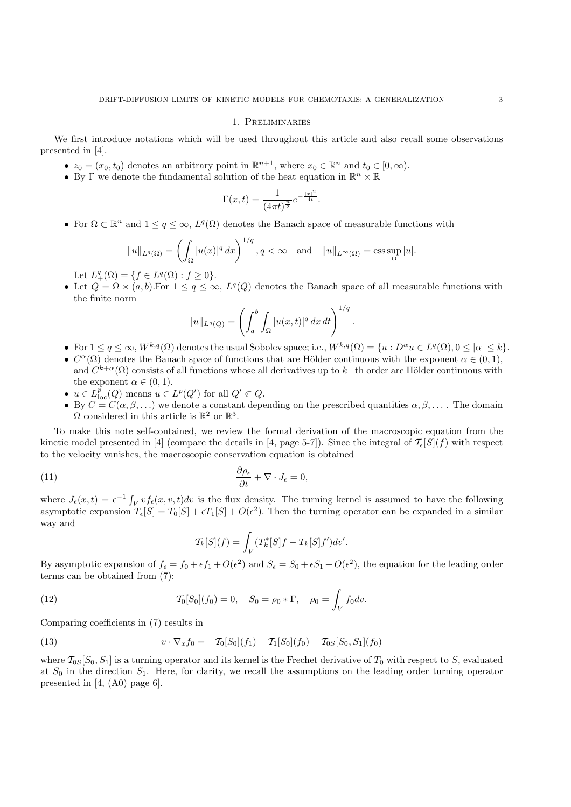### 1. Preliminaries

We first introduce notations which will be used throughout this article and also recall some observations presented in [4].

- $z_0 = (x_0, t_0)$  denotes an arbitrary point in  $\mathbb{R}^{n+1}$ , where  $x_0 \in \mathbb{R}^n$  and  $t_0 \in [0, \infty)$ .
- By  $\Gamma$  we denote the fundamental solution of the heat equation in  $\mathbb{R}^n \times \mathbb{R}$

$$
\Gamma(x,t) = \frac{1}{(4\pi t)^{\frac{n}{2}}} e^{-\frac{|x|^2}{4t}}.
$$

• For  $\Omega \subset \mathbb{R}^n$  and  $1 \leq q \leq \infty$ ,  $L^q(\Omega)$  denotes the Banach space of measurable functions with

$$
||u||_{L^q(\Omega)} = \left(\int_{\Omega} |u(x)|^q \, dx\right)^{1/q}, q < \infty \quad \text{and} \quad ||u||_{L^{\infty}(\Omega)} = \operatorname{ess} \sup_{\Omega} |u|.
$$

Let  $L_+^q(\Omega) = \{ f \in L^q(\Omega) : f \geq 0 \}.$ 

• Let  $Q = \Omega \times (a, b)$ . For  $1 \leq q \leq \infty$ ,  $L^q(Q)$  denotes the Banach space of all measurable functions with the finite norm

$$
||u||_{L^{q}(Q)} = \left(\int_{a}^{b} \int_{\Omega} |u(x,t)|^{q} dx dt\right)^{1/q}
$$

• For  $1 \le q \le \infty$ ,  $W^{k,q}(\Omega)$  denotes the usual Sobolev space; i.e.,  $W^{k,q}(\Omega) = \{u : D^{\alpha}u \in L^q(\Omega), 0 \le |\alpha| \le k\}.$ 

.

- $C^{\alpha}(\Omega)$  denotes the Banach space of functions that are Hölder continuous with the exponent  $\alpha \in (0,1)$ , and  $C^{k+\alpha}(\Omega)$  consists of all functions whose all derivatives up to k–th order are Hölder continuous with the exponent  $\alpha \in (0,1)$ .
- $u \in L^p_{loc}(Q)$  means  $u \in L^p(Q')$  for all  $Q' \Subset Q$ .
- By  $C = C(\alpha, \beta, \ldots)$  we denote a constant depending on the prescribed quantities  $\alpha, \beta, \ldots$ . The domain  $\Omega$  considered in this article is  $\mathbb{R}^2$  or  $\mathbb{R}^3$ .

To make this note self-contained, we review the formal derivation of the macroscopic equation from the kinetic model presented in [4] (compare the details in [4, page 5-7]). Since the integral of  $\mathcal{T}_{\epsilon}[S](f)$  with respect to the velocity vanishes, the macroscopic conservation equation is obtained

(11) 
$$
\frac{\partial \rho_{\epsilon}}{\partial t} + \nabla \cdot J_{\epsilon} = 0,
$$

where  $J_{\epsilon}(x,t) = \epsilon^{-1} \int_V v f_{\epsilon}(x,v,t) dv$  is the flux density. The turning kernel is assumed to have the following asymptotic expansion  $T_{\epsilon}[S] = T_0[S] + \epsilon T_1[S] + O(\epsilon^2)$ . Then the turning operator can be expanded in a similar way and

$$
\mathcal{T}_k[S](f) = \int_V (T_k^*[S]f - T_k[S]f')dv'.
$$

By asymptotic expansion of  $f_{\epsilon} = f_0 + \epsilon f_1 + O(\epsilon^2)$  and  $S_{\epsilon} = S_0 + \epsilon S_1 + O(\epsilon^2)$ , the equation for the leading order terms can be obtained from (7):

(12) 
$$
\mathcal{T}_0[S_0](f_0) = 0, \quad S_0 = \rho_0 * \Gamma, \quad \rho_0 = \int_V f_0 dv.
$$

Comparing coefficients in (7) results in

(13) 
$$
v \cdot \nabla_x f_0 = -\mathcal{T}_0[S_0](f_1) - \mathcal{T}_1[S_0](f_0) - \mathcal{T}_{0S}[S_0, S_1](f_0)
$$

where  $\mathcal{T}_{0S}[S_0, S_1]$  is a turning operator and its kernel is the Frechet derivative of  $T_0$  with respect to S, evaluated at  $S_0$  in the direction  $S_1$ . Here, for clarity, we recall the assumptions on the leading order turning operator presented in [4, (A0) page 6].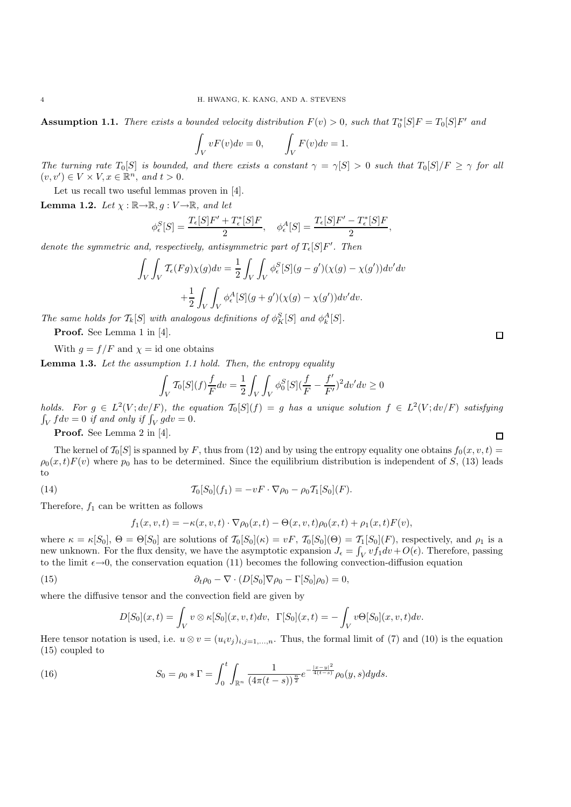**Assumption 1.1.** *There exists a bounded velocity distribution*  $F(v) > 0$ , such that  $T_0^*[S]F = T_0[S]F'$  and

$$
\int_{V} vF(v)dv = 0, \qquad \int_{V} F(v)dv = 1.
$$

*The turning rate*  $T_0[S]$  *is bounded, and there exists a constant*  $\gamma = \gamma[S] > 0$  *such that*  $T_0[S]/F \ge \gamma$  *for all*  $(v, v') \in V \times V, x \in \mathbb{R}^n$ , and  $t > 0$ .

Let us recall two useful lemmas proven in [4].

**Lemma 1.2.** *Let*  $\chi : \mathbb{R} \to \mathbb{R}$ ,  $g : V \to \mathbb{R}$ , and let

$$
\phi_{\epsilon}^S[S] = \frac{T_{\epsilon}[S]F' + T_{\epsilon}^*[S]F}{2}, \quad \phi_{\epsilon}^A[S] = \frac{T_{\epsilon}[S]F' - T_{\epsilon}^*[S]F}{2},
$$

*denote the symmetric and, respectively, antisymmetric part of*  $T_{\epsilon}[S]F'$ . Then

$$
\int_{V} \int_{V} \mathcal{T}_{\epsilon}(Fg) \chi(g) dv = \frac{1}{2} \int_{V} \int_{V} \phi_{\epsilon}^{S}[S](g - g')(\chi(g) - \chi(g')) dv' dv
$$

$$
+ \frac{1}{2} \int_{V} \int_{V} \phi_{\epsilon}^{A}[S](g + g')(\chi(g) - \chi(g')) dv' dv.
$$

*The same holds for*  $\mathcal{T}_k[S]$  *with analogous definitions of*  $\phi_K^S[S]$  *and*  $\phi_k^A[S]$ *.* 

**Proof.** See Lemma 1 in [4].

With  $g = f/F$  and  $\chi = id$  one obtains

**Lemma 1.3.** *Let the assumption 1.1 hold. Then, the entropy equality*

$$
\int_{V} \mathcal{T}_{0}[S](f) \frac{f}{F} dv = \frac{1}{2} \int_{V} \int_{V} \phi_{0}^{S}[S](\frac{f}{F} - \frac{f'}{F'})^{2} dv' dv \ge 0
$$

*holds.* For  $g \in L^2(V; dv/F)$ *, the equation*  $\mathcal{T}_0[S](f) = g$  *has a unique solution*  $f \in L^2(V; dv/F)$  *satisfying*  $\int_V f dv = 0$  if and only if  $\int_V g dv = 0$ .

**Proof.** See Lemma 2 in [4].

The kernel of  $\mathcal{T}_0[S]$  is spanned by F, thus from (12) and by using the entropy equality one obtains  $f_0(x, v, t) =$  $\rho_0(x,t)F(v)$  where  $p_0$  has to be determined. Since the equilibrium distribution is independent of S, (13) leads to

(14) 
$$
\mathcal{T}_0[S_0](f_1) = -vF \cdot \nabla \rho_0 - \rho_0 \mathcal{T}_1[S_0](F).
$$

Therefore,  $f_1$  can be written as follows

$$
f_1(x, v, t) = -\kappa(x, v, t) \cdot \nabla \rho_0(x, t) - \Theta(x, v, t) \rho_0(x, t) + \rho_1(x, t) F(v),
$$

where  $\kappa = \kappa[S_0], \Theta = \Theta[S_0]$  are solutions of  $\mathcal{T}_0[S_0](\kappa) = vF, \mathcal{T}_0[S_0](\Theta) = \mathcal{T}_1[S_0](F)$ , respectively, and  $\rho_1$  is a new unknown. For the flux density, we have the asymptotic expansion  $J_{\epsilon} = \int_{V} vf_1 dv + O(\epsilon)$ . Therefore, passing to the limit  $\epsilon \rightarrow 0$ , the conservation equation (11) becomes the following convection-diffusion equation

(15) 
$$
\partial_t \rho_0 - \nabla \cdot (D[S_0] \nabla \rho_0 - \Gamma[S_0] \rho_0) = 0,
$$

where the diffusive tensor and the convection field are given by

$$
D[S_0](x,t) = \int_V v \otimes \kappa[S_0](x,v,t)dv, \quad \Gamma[S_0](x,t) = -\int_V v\Theta[S_0](x,v,t)dv.
$$

Here tensor notation is used, i.e.  $u \otimes v = (u_i v_j)_{i,j=1,\dots,n}$ . Thus, the formal limit of (7) and (10) is the equation (15) coupled to

(16) 
$$
S_0 = \rho_0 * \Gamma = \int_0^t \int_{\mathbb{R}^n} \frac{1}{(4\pi(t-s))^{\frac{n}{2}}} e^{-\frac{|x-y|^2}{4(t-s)}} \rho_0(y,s) dy ds.
$$

 $\Box$ 

 $\Box$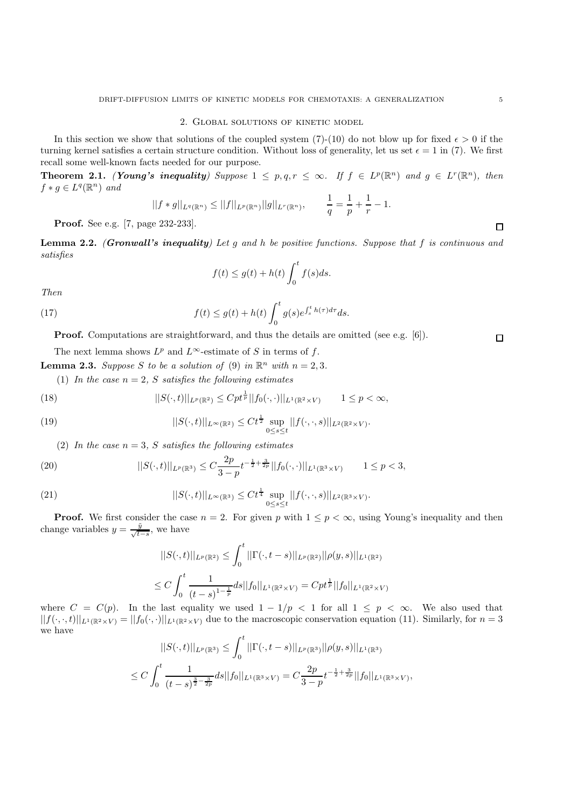## 2. Global solutions of kinetic model

In this section we show that solutions of the coupled system (7)-(10) do not blow up for fixed  $\epsilon > 0$  if the turning kernel satisfies a certain structure condition. Without loss of generality, let us set  $\epsilon = 1$  in (7). We first recall some well-known facts needed for our purpose.

**Theorem 2.1.** *(Young's inequality)* Suppose  $1 \leq p, q, r \leq \infty$ *. If*  $f \in L^p(\mathbb{R}^n)$  *and*  $g \in L^r(\mathbb{R}^n)$ *, then*  $f * g \in L^q(\mathbb{R}^n)$  *and* 

$$
||f * g||_{L^{q}(\mathbb{R}^n)} \leq ||f||_{L^{p}(\mathbb{R}^n)} ||g||_{L^{r}(\mathbb{R}^n)}, \qquad \frac{1}{q} = \frac{1}{p} + \frac{1}{r} - 1.
$$

**Proof.** See e.g. [7, page 232-233].

**Lemma 2.2.** *(Gronwall's inequality) Let* <sup>g</sup> *and* <sup>h</sup> *be positive functions. Suppose that* <sup>f</sup> *is continuous and satisfies*

$$
f(t) \le g(t) + h(t) \int_0^t f(s)ds.
$$

*Then*

(17) 
$$
f(t) \leq g(t) + h(t) \int_0^t g(s) e^{\int_s^t h(\tau) d\tau} ds.
$$

**Proof.** Computations are straightforward, and thus the details are omitted (see e.g. [6]).

The next lemma shows  $L^p$  and  $L^\infty$ -estimate of S in terms of f.

**Lemma 2.3.** *Suppose* S *to be a solution of* (9) *in*  $\mathbb{R}^n$  *with*  $n = 2, 3$ *.* 

(1) In the case  $n = 2$ , S satisfies the following estimates

(18) 
$$
||S(\cdot,t)||_{L^p(\mathbb{R}^2)} \leq Cpt^{\frac{1}{p}}||f_0(\cdot,\cdot)||_{L^1(\mathbb{R}^2 \times V)} \qquad 1 \leq p < \infty,
$$

(19) 
$$
||S(\cdot,t)||_{L^{\infty}(\mathbb{R}^2)} \leq C t^{\frac{1}{2}} \sup_{0 \leq s \leq t} ||f(\cdot,\cdot,s)||_{L^2(\mathbb{R}^2 \times V)}.
$$

(2) In the case  $n = 3$ , S satisfies the following estimates

(20) 
$$
||S(\cdot,t)||_{L^p(\mathbb{R}^3)} \leq C \frac{2p}{3-p} t^{-\frac{1}{2}+\frac{3}{2p}} ||f_0(\cdot,\cdot)||_{L^1(\mathbb{R}^3 \times V)} \qquad 1 \leq p < 3,
$$

(21) 
$$
||S(\cdot,t)||_{L^{\infty}(\mathbb{R}^3)} \leq C t^{\frac{1}{4}} \sup_{0 \leq s \leq t} ||f(\cdot,\cdot,s)||_{L^2(\mathbb{R}^3 \times V)}.
$$

**Proof.** We first consider the case  $n = 2$ . For given p with  $1 \leq p < \infty$ , using Young's inequality and then change variables  $y = \frac{\tilde{y}}{\sqrt{t-s}}$ , we have

$$
||S(\cdot,t)||_{L^p(\mathbb{R}^2)} \le \int_0^t ||\Gamma(\cdot,t-s)||_{L^p(\mathbb{R}^2)} ||\rho(y,s)||_{L^1(\mathbb{R}^2)}
$$
  

$$
\le C \int_0^t \frac{1}{(t-s)^{1-\frac{1}{p}}} ds ||f_0||_{L^1(\mathbb{R}^2 \times V)} = Cpt^{\frac{1}{p}} ||f_0||_{L^1(\mathbb{R}^2 \times V)}
$$

where  $C = C(p)$ . In the last equality we used  $1 - 1/p < 1$  for all  $1 \leq p < \infty$ . We also used that  $||f(\cdot,\cdot,t)||_{L^1(\mathbb{R}^2\times V)}=||f_0(\cdot,\cdot)||_{L^1(\mathbb{R}^2\times V)}$  due to the macroscopic conservation equation (11). Similarly, for  $n=3$ we have

$$
||S(\cdot,t)||_{L^p(\mathbb{R}^3)} \leq \int_0^t ||\Gamma(\cdot,t-s)||_{L^p(\mathbb{R}^3)} ||\rho(y,s)||_{L^1(\mathbb{R}^3)}
$$
  

$$
\leq C \int_0^t \frac{1}{(t-s)^{\frac{3}{2}-\frac{3}{2p}}} ds ||f_0||_{L^1(\mathbb{R}^3 \times V)} = C \frac{2p}{3-p} t^{-\frac{1}{2}+\frac{3}{2p}} ||f_0||_{L^1(\mathbb{R}^3 \times V)},
$$

 $\Box$ 

 $\Box$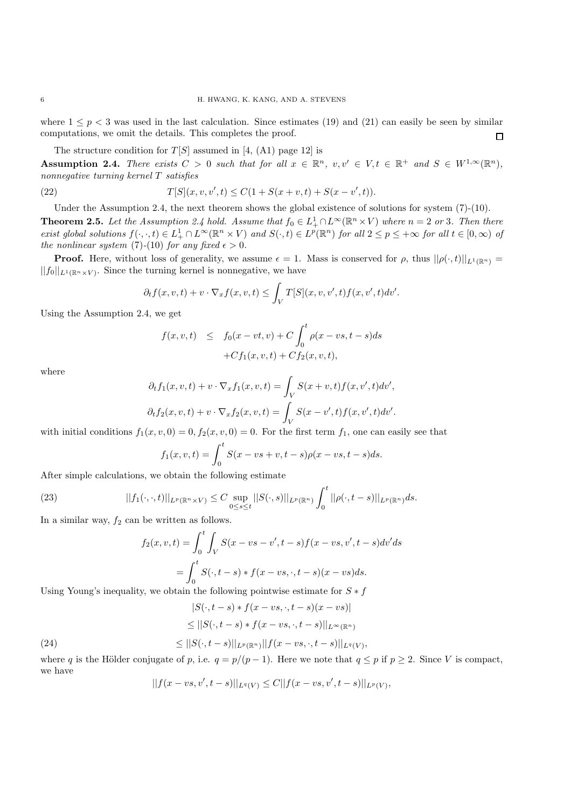where  $1 \leq p \leq 3$  was used in the last calculation. Since estimates (19) and (21) can easily be seen by similar computations, we omit the details. This completes the proof.  $\Box$ 

The structure condition for  $T[S]$  assumed in [4, (A1) page 12] is

**Assumption 2.4.** *There exists*  $C > 0$  *such that for all*  $x \in \mathbb{R}^n$ ,  $v, v' \in V$ ,  $t \in \mathbb{R}^+$  *and*  $S \in W^{1,\infty}(\mathbb{R}^n)$ , *nonnegative turning kernel* T *satisfies*

(22) 
$$
T[S](x, v, v', t) \le C(1 + S(x + v, t) + S(x - v', t)).
$$

Under the Assumption 2.4, the next theorem shows the global existence of solutions for system  $(7)-(10)$ . **Theorem 2.5.** Let the Assumption 2.4 hold. Assume that  $f_0 \in L^1_+ \cap L^\infty(\mathbb{R}^n \times V)$  where  $n = 2$  or 3. Then there  $\exists$  *exist global solutions*  $f(\cdot, \cdot, t) \in L^1_+ \cap L^\infty(\mathbb{R}^n \times V)$  and  $S(\cdot, t) \in L^p(\mathbb{R}^n)$  *for all*  $2 \leq p \leq +\infty$  *for all*  $t \in [0, \infty)$  *of the nonlinear system* (7)-(10) *for any fixed*  $\epsilon > 0$ *.* 

**Proof.** Here, without loss of generality, we assume  $\epsilon = 1$ . Mass is conserved for  $\rho$ , thus  $||\rho(\cdot,t)||_{L^1(\mathbb{R}^n)} =$  $||f_0||_{L^1(\mathbb{R}^n\times V)}$ . Since the turning kernel is nonnegative, we have

$$
\partial_t f(x, v, t) + v \cdot \nabla_x f(x, v, t) \leq \int_V T[S](x, v, v', t) f(x, v', t) dv'.
$$

Using the Assumption 2.4, we get

$$
f(x, v, t) \leq f_0(x - vt, v) + C \int_0^t \rho(x - vs, t - s) ds
$$
  
+
$$
C f_1(x, v, t) + C f_2(x, v, t),
$$

where

$$
\partial_t f_1(x, v, t) + v \cdot \nabla_x f_1(x, v, t) = \int_V S(x + v, t) f(x, v', t) dv',
$$
  

$$
\partial_t f_2(x, v, t) + v \cdot \nabla_x f_2(x, v, t) = \int_V S(x - v', t) f(x, v', t) dv'.
$$

with initial conditions  $f_1(x, v, 0) = 0, f_2(x, v, 0) = 0$ . For the first term  $f_1$ , one can easily see that

$$
f_1(x, v, t) = \int_0^t S(x - vs + v, t - s)\rho(x - vs, t - s)ds.
$$

After simple calculations, we obtain the following estimate

(23) 
$$
||f_1(\cdot,\cdot,t)||_{L^p(\mathbb{R}^n\times V)} \leq C \sup_{0\leq s\leq t} ||S(\cdot,s)||_{L^p(\mathbb{R}^n)} \int_0^t ||\rho(\cdot,t-s)||_{L^p(\mathbb{R}^n)} ds.
$$

In a similar way,  $f_2$  can be written as follows.

$$
f_2(x, v, t) = \int_0^t \int_V S(x - vs - v', t - s) f(x - vs, v', t - s) dv' ds
$$
  
= 
$$
\int_0^t S(\cdot, t - s) * f(x - vs, \cdot, t - s) (x - vs) ds.
$$

Using Young's inequality, we obtain the following pointwise estimate for  $S * f$ 

(24)  
\n
$$
|S(\cdot, t - s) * f(x - vs, \cdot, t - s)(x - vs)|
$$
\n
$$
\leq ||S(\cdot, t - s) * f(x - vs, \cdot, t - s)||_{L^{\infty}(\mathbb{R}^n)}
$$
\n
$$
\leq ||S(\cdot, t - s)||_{L^p(\mathbb{R}^n)} ||f(x - vs, \cdot, t - s)||_{L^q(V)},
$$

where q is the Hölder conjugate of p, i.e.  $q = p/(p-1)$ . Here we note that  $q \leq p$  if  $p \geq 2$ . Since V is compact, we have

$$
||f(x - vs, v', t - s)||_{L^{q}(V)} \leq C||f(x - vs, v', t - s)||_{L^{p}(V)},
$$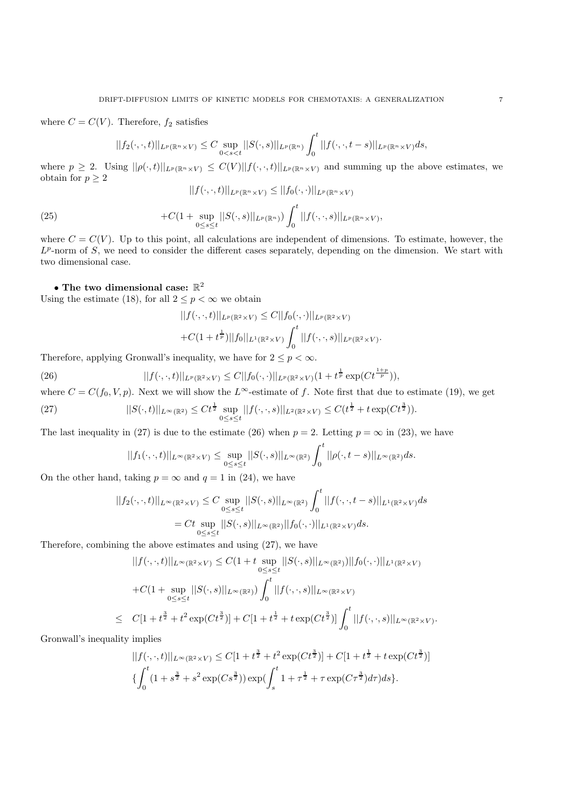where  $C = C(V)$ . Therefore,  $f_2$  satisfies

$$
||f_2(\cdot,\cdot,t)||_{L^p(\mathbb{R}^n\times V)} \leq C \sup_{0
$$

where  $p \geq 2$ . Using  $||\rho(\cdot,t)||_{L^p(\mathbb{R}^n \times V)} \leq C(V)||f(\cdot,\cdot,t)||_{L^p(\mathbb{R}^n \times V)}$  and summing up the above estimates, we obtain for  $p \geq 2$ 

$$
||f(\cdot,\cdot,t)||_{L^p(\mathbb{R}^n\times V)} \leq ||f_0(\cdot,\cdot)||_{L^p(\mathbb{R}^n\times V)}
$$

(25) 
$$
+C(1+\sup_{0\leq s\leq t}||S(\cdot,s)||_{L^p(\mathbb{R}^n)})\int_0^t||f(\cdot,\cdot,s)||_{L^p(\mathbb{R}^n\times V)},
$$

where  $C = C(V)$ . Up to this point, all calculations are independent of dimensions. To estimate, however, the  $L^p$ -norm of S, we need to consider the different cases separately, depending on the dimension. We start with two dimensional case.

# $\bullet$  The two dimensional case:  $\mathbb{R}^2$

Using the estimate (18), for all  $2 \le p < \infty$  we obtain

$$
||f(\cdot,\cdot,t)||_{L^p(\mathbb{R}^2 \times V)} \leq C||f_0(\cdot,\cdot)||_{L^p(\mathbb{R}^2 \times V)} + C(1+t^{\frac{1}{p}})||f_0||_{L^1(\mathbb{R}^2 \times V)} \int_0^t ||f(\cdot,\cdot,s)||_{L^p(\mathbb{R}^2 \times V)}.
$$

Therefore, applying Gronwall's inequality, we have for  $2 \le p < \infty$ .

(26) 
$$
||f(\cdot,\cdot,t)||_{L^p(\mathbb{R}^2\times V)} \leq C||f_0(\cdot,\cdot)||_{L^p(\mathbb{R}^2\times V)}(1+t^{\frac{1}{p}}\exp(Ct^{\frac{1+p}{p}})),
$$

where  $C = C(f_0, V, p)$ . Next we will show the L<sup>∞</sup>-estimate of f. Note first that due to estimate (19), we get

(27) 
$$
||S(\cdot,t)||_{L^{\infty}(\mathbb{R}^2)} \leq Ct^{\frac{1}{2}} \sup_{0 \leq s \leq t} ||f(\cdot,\cdot,s)||_{L^2(\mathbb{R}^2 \times V)} \leq C(t^{\frac{1}{2}} + t \exp(Ct^{\frac{3}{2}})).
$$

The last inequality in (27) is due to the estimate (26) when  $p = 2$ . Letting  $p = \infty$  in (23), we have

$$
||f_1(\cdot,\cdot,t)||_{L^{\infty}(\mathbb{R}^2\times V)}\leq \sup_{0\leq s\leq t}||S(\cdot,s)||_{L^{\infty}(\mathbb{R}^2)}\int_0^t ||\rho(\cdot,t-s)||_{L^{\infty}(\mathbb{R}^2)}ds.
$$

On the other hand, taking  $p = \infty$  and  $q = 1$  in (24), we have

$$
||f_2(\cdot, \cdot, t)||_{L^{\infty}(\mathbb{R}^2 \times V)} \leq C \sup_{0 \leq s \leq t} ||S(\cdot, s)||_{L^{\infty}(\mathbb{R}^2)} \int_0^t ||f(\cdot, \cdot, t - s)||_{L^1(\mathbb{R}^2 \times V)} ds
$$
  
=  $Ct \sup_{0 \leq s \leq t} ||S(\cdot, s)||_{L^{\infty}(\mathbb{R}^2)} ||f_0(\cdot, \cdot)||_{L^1(\mathbb{R}^2 \times V)} ds.$ 

Therefore, combining the above estimates and using (27), we have

$$
||f(\cdot,\cdot,t)||_{L^{\infty}(\mathbb{R}^2 \times V)} \leq C(1+t \sup_{0 \leq s \leq t} ||S(\cdot,s)||_{L^{\infty}(\mathbb{R}^2)})||f_0(\cdot,\cdot)||_{L^1(\mathbb{R}^2 \times V)}
$$
  
+
$$
C(1+\sup_{0 \leq s \leq t} ||S(\cdot,s)||_{L^{\infty}(\mathbb{R}^2)}) \int_0^t ||f(\cdot,\cdot,s)||_{L^{\infty}(\mathbb{R}^2 \times V)}
$$
  

$$
C[1+t^{\frac{3}{2}}+t^2 \exp(Ct^{\frac{3}{2}})]+C[1+t^{\frac{1}{2}}+t \exp(Ct^{\frac{3}{2}})] \int_0^t ||f(\cdot,\cdot,s)||_{L^{\infty}(\mathbb{R}^2 \times V)}.
$$

Gronwall's inequality implies

 $\leq$ 

$$
||f(\cdot,\cdot,t)||_{L^{\infty}(\mathbb{R}^2 \times V)} \leq C[1+t^{\frac{3}{2}}+t^2 \exp(Ct^{\frac{3}{2}})] + C[1+t^{\frac{1}{2}}+t \exp(Ct^{\frac{3}{2}})]
$$
  

$$
\{\int_0^t (1+s^{\frac{3}{2}}+s^2 \exp(Cs^{\frac{3}{2}})) \exp(\int_s^t 1+\tau^{\frac{1}{2}}+\tau \exp(C\tau^{\frac{3}{2}})d\tau)ds\}.
$$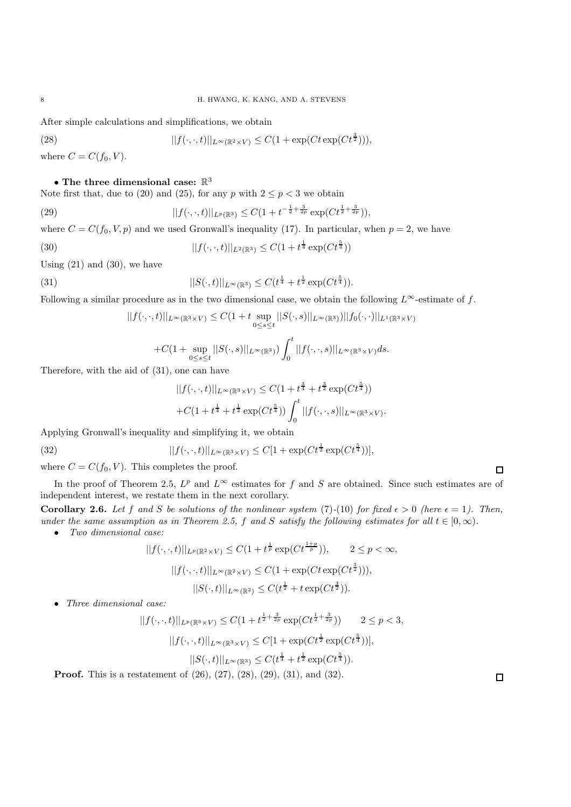After simple calculations and simplifications, we obtain

(28) 
$$
||f(\cdot,\cdot,t)||_{L^{\infty}(\mathbb{R}^2\times V)} \leq C(1+\exp(Ct\exp(Ct^{\frac{3}{2}}))),
$$

where  $C = C(f_0, V)$ .

## $\bullet$  The three dimensional case:  $\mathbb{R}^3$

Note first that, due to (20) and (25), for any p with  $2 \le p < 3$  we obtain

(29) 
$$
||f(\cdot,\cdot,t)||_{L^p(\mathbb{R}^3)} \leq C(1+t^{-\frac{1}{2}+\frac{3}{2p}}\exp(Ct^{\frac{1}{2}+\frac{3}{2p}})),
$$

where  $C = C(f_0, V, p)$  and we used Gronwall's inequality (17). In particular, when  $p = 2$ , we have

(30) 
$$
||f(\cdot, \cdot, t)||_{L^{2}(\mathbb{R}^{3})} \leq C(1 + t^{\frac{1}{4}} \exp(Ct^{\frac{5}{4}}))
$$

Using  $(21)$  and  $(30)$ , we have

(31) 
$$
||S(\cdot,t)||_{L^{\infty}(\mathbb{R}^3)} \leq C(t^{\frac{1}{4}} + t^{\frac{1}{2}} \exp(Ct^{\frac{5}{4}})).
$$

Following a similar procedure as in the two dimensional case, we obtain the following  $L^{\infty}$ -estimate of f.

$$
||f(\cdot,\cdot,t)||_{L^{\infty}(\mathbb{R}^3 \times V)} \leq C(1+t \sup_{0 \leq s \leq t} ||S(\cdot,s)||_{L^{\infty}(\mathbb{R}^3)})||f_0(\cdot,\cdot)||_{L^1(\mathbb{R}^3 \times V)}
$$
  
+
$$
+C(1+\sup_{0 \leq s \leq t} ||S(\cdot,s)||_{L^{\infty}(\mathbb{R}^3)}) \int_0^t ||f(\cdot,\cdot,s)||_{L^{\infty}(\mathbb{R}^3 \times V)} ds.
$$

Therefore, with the aid of (31), one can have

$$
||f(\cdot,\cdot,t)||_{L^{\infty}(\mathbb{R}^3 \times V)} \leq C(1 + t^{\frac{3}{4}} + t^{\frac{3}{2}} \exp(Ct^{\frac{5}{4}}))
$$
  
+C(1 + t^{\frac{1}{4}} + t^{\frac{1}{2}} \exp(Ct^{\frac{5}{4}})) \int\_0^t ||f(\cdot,\cdot,s)||\_{L^{\infty}(\mathbb{R}^3 \times V)}.

Applying Gronwall's inequality and simplifying it, we obtain

(32) 
$$
||f(\cdot,\cdot,t)||_{L^{\infty}(\mathbb{R}^3 \times V)} \leq C[1 + \exp(Ct^{\frac{1}{2}} \exp(Ct^{\frac{5}{4}}))],
$$

 $0 \leq s \leq t$ 

where  $C = C(f_0, V)$ . This completes the proof.

In the proof of Theorem 2.5,  $L^p$  and  $L^\infty$  estimates for f and S are obtained. Since such estimates are of independent interest, we restate them in the next corollary.

**Corollary 2.6.** Let f and S be solutions of the nonlinear system (7)-(10) for fixed  $\epsilon > 0$  (here  $\epsilon = 1$ ). Then, *under the same assumption as in Theorem 2.5,* f and S *satisfy the following estimates for all*  $t \in [0, \infty)$ *.* 

• *Two dimensional case:*

$$
||f(\cdot,\cdot,t)||_{L^p(\mathbb{R}^2 \times V)} \leq C(1+t^{\frac{1}{p}} \exp(Ct^{\frac{1+p}{p}})), \qquad 2 \leq p < \infty,
$$
  

$$
||f(\cdot,\cdot,t)||_{L^{\infty}(\mathbb{R}^2 \times V)} \leq C(1+\exp(Ct \exp(Ct^{\frac{3}{2}}))),
$$
  

$$
||S(\cdot,t)||_{L^{\infty}(\mathbb{R}^2)} \leq C(t^{\frac{1}{2}}+t \exp(Ct^{\frac{3}{2}})).
$$

• *Three dimensional case:*

$$
||f(\cdot,\cdot,t)||_{L^p(\mathbb{R}^3 \times V)} \leq C(1+t^{\frac{1}{2}+\frac{3}{2p}}\exp(Ct^{\frac{1}{2}+\frac{3}{2p}})) \qquad 2 \leq p < 3,
$$
  

$$
||f(\cdot,\cdot,t)||_{L^{\infty}(\mathbb{R}^3 \times V)} \leq C[1+\exp(Ct^{\frac{1}{2}}\exp(Ct^{\frac{5}{4}}))],
$$
  

$$
||S(\cdot,t)||_{L^{\infty}(\mathbb{R}^3)} \leq C(t^{\frac{1}{4}}+t^{\frac{1}{2}}\exp(Ct^{\frac{5}{4}})).
$$

**Proof.** This is a restatement of (26), (27), (28), (29), (31), and (32).

 $\Box$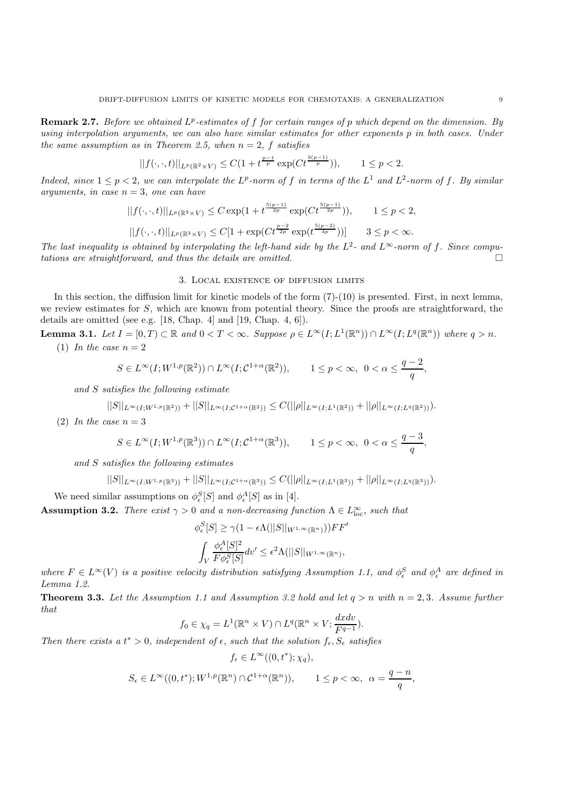**Remark 2.7.** *Before we obtained*  $L^p$ -estimates of f for certain ranges of p which depend on the dimension. By *using interpolation arguments, we can also have similar estimates for other exponents* p *in both cases. Under the same assumption as in Theorem 2.5, when*  $n = 2$ ,  $f$  *satisfies* 

$$
||f(\cdot,\cdot,t)||_{L^p(\mathbb{R}^2 \times V)} \leq C(1 + t^{\frac{p-1}{p}} \exp(Ct^{\frac{3(p-1)}{p}})), \qquad 1 \leq p < 2.
$$

*Indeed, since*  $1 \leq p < 2$ *, we can interpolate the*  $L^p$ -norm of f *in terms of the*  $L^1$  *and*  $L^2$ -norm of f. By similar *arguments, in case* n = 3*, one can have*

$$
||f(\cdot,\cdot,t)||_{L^p(\mathbb{R}^3 \times V)} \leq C \exp(1 + t^{\frac{5(p-1)}{2p}} \exp(Ct^{\frac{5(p-1)}{2p}})), \qquad 1 \leq p < 2,
$$
  

$$
||f(\cdot,\cdot,t)||_{L^p(\mathbb{R}^3 \times V)} \leq C[1 + \exp(Ct^{\frac{p-2}{2p}} \exp(t^{\frac{5(p-2)}{4p}}))]
$$
 $3 \leq p < \infty.$ 

*The last inequality is obtained by interpolating the left-hand side by the*  $L^2$ - and  $L^\infty$ -norm of f. Since compu*tations are straightforward, and thus the details are omitted.* -

## 3. Local existence of diffusion limits

In this section, the diffusion limit for kinetic models of the form (7)-(10) is presented. First, in next lemma, we review estimates for S, which are known from potential theory. Since the proofs are straightforward, the details are omitted (see e.g. [18, Chap. 4] and [19, Chap. 4, 6]).

**Lemma 3.1.** *Let*  $I = [0, T) \subset \mathbb{R}$  *and*  $0 < T < \infty$ *. Suppose*  $\rho \in L^{\infty}(I; L^{1}(\mathbb{R}^{n})) \cap L^{\infty}(I; L^{q}(\mathbb{R}^{n}))$  *where*  $q > n$ *.*  $(1)$  *In the case*  $n = 2$ 

$$
S\in L^\infty(I;W^{1,p}(\mathbb{R}^2))\cap L^\infty(I;\mathcal{C}^{1+\alpha}(\mathbb{R}^2)),\qquad 1\leq p<\infty,\ \ 0<\alpha\leq \frac{q-2}{q},
$$

*and* S *satisfies the following estimate*

$$
||S||_{L^{\infty}(I;W^{1,p}(\mathbb{R}^2))}+||S||_{L^{\infty}(I;\mathcal{C}^{1+\alpha}(\mathbb{R}^2))}\leq C(||\rho||_{L^{\infty}(I;L^1(\mathbb{R}^2))}+||\rho||_{L^{\infty}(I;L^q(\mathbb{R}^2))}).
$$

(2) *In the case*  $n = 3$ 

$$
S \in L^{\infty}(I;W^{1,p}(\mathbb{R}^3)) \cap L^{\infty}(I;C^{1+\alpha}(\mathbb{R}^3)), \qquad 1 \le p < \infty, \ \ 0 < \alpha \le \frac{q-3}{q},
$$

*and* S *satisfies the following estimates*

$$
||S||_{L^{\infty}(I;W^{1,p}(\mathbb{R}^3))}+||S||_{L^{\infty}(I;\mathcal{C}^{1+\alpha}(\mathbb{R}^3))}\leq C(||\rho||_{L^{\infty}(I;L^1(\mathbb{R}^3))}+||\rho||_{L^{\infty}(I;L^q(\mathbb{R}^3))}).
$$

We need similar assumptions on  $\phi_{\epsilon}^{S}[S]$  and  $\phi_{\epsilon}^{A}[S]$  as in [4].

**Assumption 3.2.** *There exist*  $\gamma > 0$  *and a non-decreasing function*  $\Lambda \in L^{\infty}_{loc}$ *, such that* 

$$
\begin{aligned} \phi_{\epsilon}^S[S] &\geq \gamma (1 - \epsilon \Lambda(||S||_{W^{1,\infty}(\mathbb{R}^n)}))FF'\\ \int_V \frac{\phi_{\epsilon}^A[S]^2}{F\phi_{\epsilon}^S[S]}dv' &\leq \epsilon^2 \Lambda(||S||_{W^{1,\infty}(\mathbb{R}^n)}, \end{aligned}
$$

*where*  $F \in L^{\infty}(V)$  *is a positive velocity distribution satisfying Assumption 1.1, and*  $\phi_{\epsilon}^{S}$  *and*  $\phi_{\epsilon}^{A}$  *are defined in Lemma 1.2.*

**Theorem 3.3.** Let the Assumption 1.1 and Assumption 3.2 hold and let  $q > n$  with  $n = 2, 3$ . Assume further *that*

$$
f_0 \in \chi_q = L^1(\mathbb{R}^n \times V) \cap L^q(\mathbb{R}^n \times V; \frac{dxdv}{F^{q-1}}).
$$

*Then there exists a*  $t^* > 0$ *, independent of*  $\epsilon$ *, such that the solution*  $f_{\epsilon}$ *,*  $S_{\epsilon}$  *satisfies* 

$$
f_{\epsilon} \in L^{\infty}((0, t^*); \chi_q),
$$

$$
S_{\epsilon} \in L^{\infty}((0, t^*); W^{1, p}(\mathbb{R}^n) \cap C^{1+\alpha}(\mathbb{R}^n)), \qquad 1 \le p < \infty, \ \alpha = \frac{q-n}{q},
$$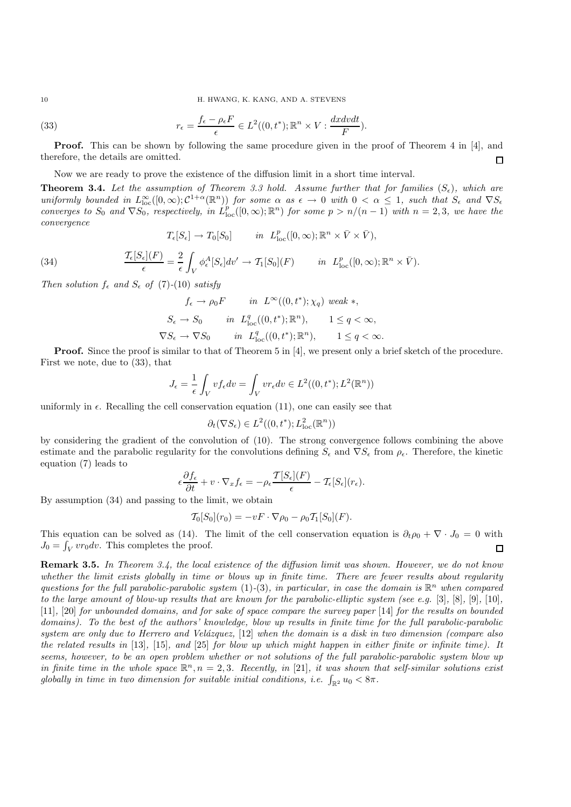10 H. HWANG, K. KANG, AND A. STEVENS

(33) 
$$
r_{\epsilon} = \frac{f_{\epsilon} - \rho_{\epsilon} F}{\epsilon} \in L^{2}((0, t^{*}); \mathbb{R}^{n} \times V : \frac{dx dv dt}{F}).
$$

**Proof.** This can be shown by following the same procedure given in the proof of Theorem 4 in [4], and therefore, the details are omitted.  $\Box$ 

Now we are ready to prove the existence of the diffusion limit in a short time interval.

**Theorem 3.4.** Let the assumption of Theorem 3.3 hold. Assume further that for families  $(S_{\epsilon})$ , which are  $uniformly$  bounded in  $L^{\infty}_{loc}([0,\infty); \mathcal{C}^{1+\alpha}(\mathbb{R}^n))$  *for some*  $\alpha$  *as*  $\epsilon \to 0$  *with*  $0 < \alpha \leq 1$ *, such that*  $S_{\epsilon}$  *and*  $\nabla S_{\epsilon}$ *converges to*  $S_0$  *and*  $\nabla S_0$ *, respectively, in*  $L_{\text{loc}}^p([0,\infty);\mathbb{R}^n)$  *for some*  $p > n/(n-1)$  *with*  $n = 2,3$ *, we have the convergence*

$$
T_{\epsilon}[S_{\epsilon}] \to T_0[S_0]
$$
 in  $L_{\text{loc}}^p([0,\infty); \mathbb{R}^n \times \bar{V} \times \bar{V}),$ 

(34) 
$$
\frac{\mathcal{T}_{\epsilon}[S_{\epsilon}](F)}{\epsilon} = \frac{2}{\epsilon} \int_{V} \phi_{\epsilon}^{A}[S_{\epsilon}]dv' \to \mathcal{T}_{1}[S_{0}](F) \quad in \quad L_{\text{loc}}^{p}([0,\infty);\mathbb{R}^{n} \times \bar{V}).
$$

*Then solution*  $f_{\epsilon}$  *and*  $S_{\epsilon}$  *of* (7)-(10) *satisfy* 

$$
f_{\epsilon} \to \rho_0 F \qquad in \quad L^{\infty}((0, t^*); \chi_q) \text{ weak } *,
$$
  
\n
$$
S_{\epsilon} \to S_0 \qquad in \quad L^q_{\text{loc}}((0, t^*); \mathbb{R}^n), \qquad 1 \le q < \infty,
$$
  
\n
$$
\nabla S_{\epsilon} \to \nabla S_0 \qquad in \quad L^q_{\text{loc}}((0, t^*); \mathbb{R}^n), \qquad 1 \le q < \infty.
$$

**Proof.** Since the proof is similar to that of Theorem 5 in [4], we present only a brief sketch of the procedure. First we note, due to (33), that

$$
J_{\epsilon} = \frac{1}{\epsilon} \int_{V} v f_{\epsilon} dv = \int_{V} v r_{\epsilon} dv \in L^{2}((0, t^{*}); L^{2}(\mathbb{R}^{n}))
$$

uniformly in  $\epsilon$ . Recalling the cell conservation equation (11), one can easily see that

$$
\partial_t(\nabla S_\epsilon) \in L^2((0,t^*);L^2_{\rm loc}(\mathbb{R}^n))
$$

by considering the gradient of the convolution of (10). The strong convergence follows combining the above estimate and the parabolic regularity for the convolutions defining  $S_{\epsilon}$  and  $\nabla S_{\epsilon}$  from  $\rho_{\epsilon}$ . Therefore, the kinetic equation (7) leads to

$$
\epsilon \frac{\partial f_{\epsilon}}{\partial t} + v \cdot \nabla_x f_{\epsilon} = -\rho_{\epsilon} \frac{\mathcal{T}[S_{\epsilon}](F)}{\epsilon} - \mathcal{T}_{\epsilon}[S_{\epsilon}](r_{\epsilon}).
$$

By assumption (34) and passing to the limit, we obtain

$$
\mathcal{T}_0[S_0](r_0) = -vF \cdot \nabla \rho_0 - \rho_0 \mathcal{T}_1[S_0](F).
$$

This equation can be solved as (14). The limit of the cell conservation equation is  $\partial_t \rho_0 + \nabla \cdot J_0 = 0$  with  $J_0 = \int_V v r_0 dv$ . This completes the proof.  $\Box$ 

**Remark 3.5.** *In Theorem 3.4, the local existence of the diffusion limit was shown. However, we do not know whether the limit exists globally in time or blows up in finite time. There are fewer results about regularity questions for the full parabolic-parabolic system* (1)-(3)*, in particular, in case the domain is*  $\mathbb{R}^n$  *when compared to the large amount of blow-up results that are known for the parabolic-elliptic system (see e.g.* [3]*,* [8]*,* [9]*,* [10]*,* [11]*,* [20] *for unbounded domains, and for sake of space compare the survey paper* [14] *for the results on bounded domains). To the best of the authors' knowledge, blow up results in finite time for the full parabolic-parabolic system are only due to Herrero and Vel´azquez,* [12] *when the domain is a disk in two dimension (compare also the related results in* [13]*,* [15]*, and* [25] *for blow up which might happen in either finite or infinite time). It seems, however, to be an open problem whether or not solutions of the full parabolic-parabolic system blow up in finite time in the whole space*  $\mathbb{R}^n$ ,  $n = 2, 3$ *. Recently, in* [21]*, it was shown that self-similar solutions exist globally in time in two dimension for suitable initial conditions, i.e.*  $\int_{\mathbb{R}^2} u_0 < 8\pi$ .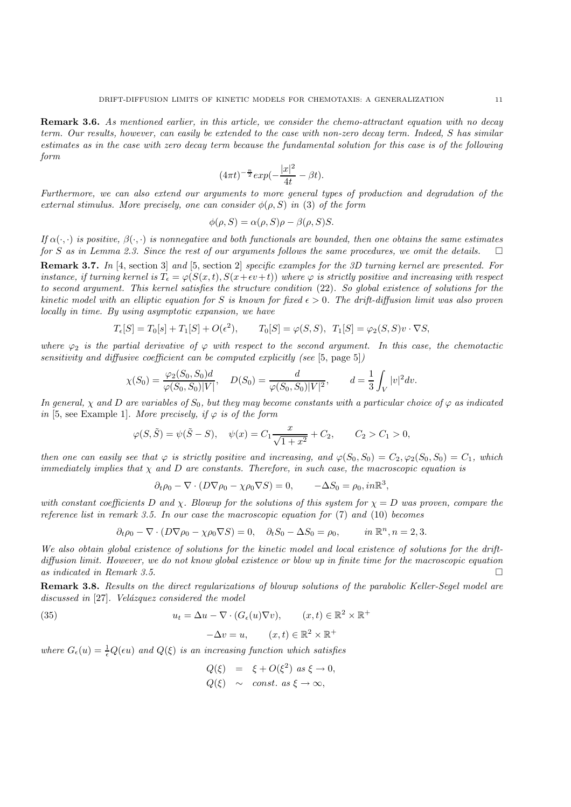**Remark 3.6.** *As mentioned earlier, in this article, we consider the chemo-attractant equation with no decay term. Our results, however, can easily be extended to the case with non-zero decay term. Indeed,* S *has similar estimates as in the case with zero decay term because the fundamental solution for this case is of the following form*

$$
(4\pi t)^{-\frac{n}{2}} \exp(-\frac{|x|^2}{4t} - \beta t).
$$

*Furthermore, we can also extend our arguments to more general types of production and degradation of the external stimulus. More precisely, one can consider*  $\phi(\rho, S)$  *in* (3) *of the form* 

$$
\phi(\rho, S) = \alpha(\rho, S)\rho - \beta(\rho, S)S.
$$

*If*  $\alpha(\cdot, \cdot)$  *is positive,*  $\beta(\cdot, \cdot)$  *is nonnegative and both functionals are bounded, then one obtains the same estimates for* S *as in Lemma 2.3. Since the rest of our arguments follows the same procedures, we omit the details.* - $\Box$ 

**Remark 3.7.** *In* [4, section 3] *and* [5, section 2] *specific examples for the 3D turning kernel are presented. For instance, if turning kernel is*  $T_{\epsilon} = \varphi(S(x,t), S(x+\epsilon v+t))$  *where*  $\varphi$  *is strictly positive and increasing with respect to second argument. This kernel satisfies the structure condition* (22)*. So global existence of solutions for the kinetic model with an elliptic equation for* S *is known for fixed*  $\epsilon > 0$ . The drift-diffusion limit was also proven *locally in time. By using asymptotic expansion, we have*

$$
T_{\epsilon}[S] = T_0[s] + T_1[S] + O(\epsilon^2), \qquad T_0[S] = \varphi(S, S), \ T_1[S] = \varphi_2(S, S)v \cdot \nabla S,
$$

*where*  $\varphi_2$  *is the partial derivative of*  $\varphi$  *with respect to the second argument. In this case, the chemotactic sensitivity and diffusive coefficient can be computed explicitly (see* [5, page 5]*)*

$$
\chi(S_0) = \frac{\varphi_2(S_0, S_0)d}{\varphi(S_0, S_0)|V|}, \quad D(S_0) = \frac{d}{\varphi(S_0, S_0)|V|^2}, \qquad d = \frac{1}{3} \int_V |v|^2 dv.
$$

*In general,*  $\chi$  *and*  $D$  *are variables of*  $S_0$ *, but they may become constants with a particular choice of*  $\varphi$  *as indicated in* [5, see Example 1]*. More precisely, if*  $\varphi$  *is of the form* 

$$
\varphi(S, \tilde{S}) = \psi(\tilde{S} - S), \quad \psi(x) = C_1 \frac{x}{\sqrt{1 + x^2}} + C_2, \qquad C_2 > C_1 > 0,
$$

*then one can easily see that*  $\varphi$  *is strictly positive and increasing, and*  $\varphi(S_0, S_0) = C_2, \varphi_2(S_0, S_0) = C_1$ *, which immediately implies that* χ *and* D *are constants. Therefore, in such case, the macroscopic equation is*

$$
\partial_t \rho_0 - \nabla \cdot (D \nabla \rho_0 - \chi \rho_0 \nabla S) = 0, \qquad -\Delta S_0 = \rho_0, in \mathbb{R}^3,
$$

*with constant coefficients* D *and*  $\chi$ . Blowup for the solutions of this system for  $\chi = D$  was proven, compare the *reference list in remark 3.5. In our case the macroscopic equation for* (7) *and* (10) *becomes*

$$
\partial_t \rho_0 - \nabla \cdot (D \nabla \rho_0 - \chi \rho_0 \nabla S) = 0, \quad \partial_t S_0 - \Delta S_0 = \rho_0, \qquad in \ \mathbb{R}^n, n = 2, 3.
$$

*We also obtain global existence of solutions for the kinetic model and local existence of solutions for the driftdiffusion limit. However, we do not know global existence or blow up in finite time for the macroscopic equation*  $as indicated in Remark 3.5.$ 

**Remark 3.8.** *Results on the direct regularizations of blowup solutions of the parabolic Keller-Segel model are* discussed in [27]. Velázquez considered the model

(35) 
$$
u_t = \Delta u - \nabla \cdot (G_\epsilon(u)\nabla v), \qquad (x, t) \in \mathbb{R}^2 \times \mathbb{R}^+ -\Delta v = u, \qquad (x, t) \in \mathbb{R}^2 \times \mathbb{R}^+
$$

where  $G_{\epsilon}(u) = \frac{1}{\epsilon} Q(\epsilon u)$  and  $Q(\xi)$  *is an increasing function which satisfies* 

$$
Q(\xi) = \xi + O(\xi^2) \text{ as } \xi \to 0,
$$
  

$$
Q(\xi) \sim \text{const. as } \xi \to \infty,
$$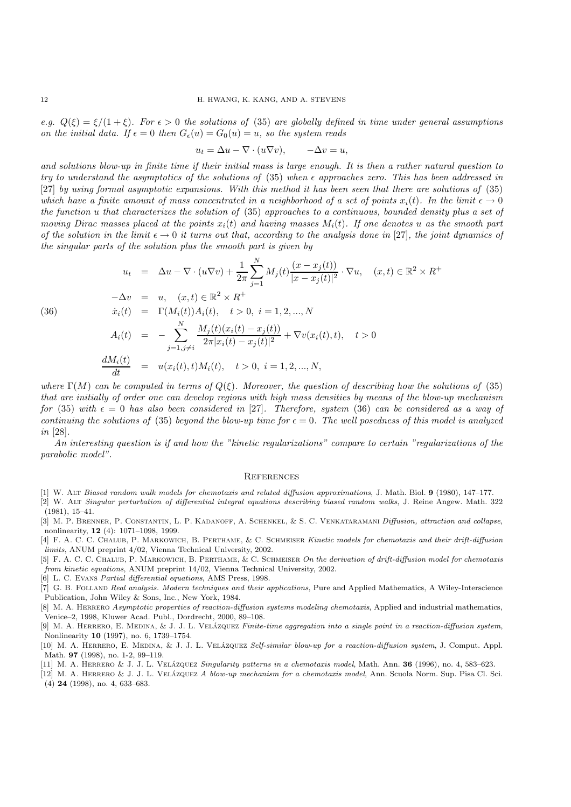*e.g.*  $Q(\xi) = \xi/(1+\xi)$ *. For*  $\epsilon > 0$  *the solutions of* (35) *are globally defined in time under general assumptions on the initial data.* If  $\epsilon = 0$  then  $G_{\epsilon}(u) = G_0(u) = u$ , so the system reads

$$
u_t = \Delta u - \nabla \cdot (u \nabla v), \qquad -\Delta v = u,
$$

*and solutions blow-up in finite time if their initial mass is large enough. It is then a rather natural question to try to understand the asymptotics of the solutions of* (35) *when approaches zero. This has been addressed in* [27] *by using formal asymptotic expansions. With this method it has been seen that there are solutions of* (35) *which have a finite amount of mass concentrated in a neighborhood of a set of points*  $x_i(t)$ *. In the limit*  $\epsilon \to 0$ *the function* u *that characterizes the solution of* (35) *approaches to a continuous, bounded density plus a set of moving Dirac masses placed at the points*  $x_i(t)$  *and having masses*  $M_i(t)$ *. If one denotes* u *as the smooth part of the solution in the limit*  $\epsilon \to 0$  *it turns out that, according to the analysis done in* [27]*, the joint dynamics of the singular parts of the solution plus the smooth part is given by*

(36)  
\n
$$
u_{t} = \Delta u - \nabla \cdot (u \nabla v) + \frac{1}{2\pi} \sum_{j=1}^{N} M_{j}(t) \frac{(x - x_{j}(t))}{|x - x_{j}(t)|^{2}} \cdot \nabla u, \quad (x, t) \in \mathbb{R}^{2} \times R^{+}
$$
\n
$$
-\Delta v = u, \quad (x, t) \in \mathbb{R}^{2} \times R^{+}
$$
\n
$$
\dot{x}_{i}(t) = \Gamma(M_{i}(t))A_{i}(t), \quad t > 0, \quad i = 1, 2, ..., N
$$
\n
$$
A_{i}(t) = -\sum_{j=1, j \neq i}^{N} \frac{M_{j}(t)(x_{i}(t) - x_{j}(t))}{2\pi |x_{i}(t) - x_{j}(t)|^{2}} + \nabla v(x_{i}(t), t), \quad t > 0
$$
\n
$$
\frac{dM_{i}(t)}{dt} = u(x_{i}(t), t)M_{i}(t), \quad t > 0, \quad i = 1, 2, ..., N,
$$

*where*  $\Gamma(M)$  *can be computed in terms of*  $Q(\xi)$ *. Moreover, the question of describing how the solutions of* (35) *that are initially of order one can develop regions with high mass densities by means of the blow-up mechanism for* (35) *with*  $\epsilon = 0$  *has also been considered in* [27]*. Therefore, system* (36) *can be considered as a way of continuing the solutions of* (35) *beyond the blow-up time for*  $\epsilon = 0$ *. The well posedness of this model is analyzed in* [28]*.*

*An interesting question is if and how the "kinetic regularizations" compare to certain "regularizations of the parabolic model".*

## **REFERENCES**

- [1] W. Alt Biased random walk models for chemotaxis and related diffusion approximations, J. Math. Biol. **9** (1980), 147–177.
- [2] W. Alt Singular perturbation of differential integral equations describing biased random walks, J. Reine Angew. Math. 322 (1981), 15–41.
- [3] M. P. BRENNER, P. CONSTANTIN, L. P. KADANOFF, A. SCHENKEL, & S. C. VENKATARAMANI Diffusion, attraction and collapse, nonlinearity, **12** (4): 1071–1098, 1999.
- [4] F. A. C. C. CHALUB, P. MARKOWICH, B. PERTHAME, & C. SCHMEISER Kinetic models for chemotaxis and their drift-diffusion limits, ANUM preprint 4/02, Vienna Technical University, 2002.
- [5] F. A. C. C. CHALUB, P. MARKOWICH, B. PERTHAME, & C. SCHMEISER On the derivation of drift-diffusion model for chemotaxis from kinetic equations, ANUM preprint 14/02, Vienna Technical University, 2002.
- [6] L. C. Evans Partial differential equations, AMS Press, 1998.
- [7] G. B. FOLLAND Real analysis. Modern techniques and their applications, Pure and Applied Mathematics, A Wiley-Interscience Publication, John Wiley & Sons, Inc., New York, 1984.
- [8] M. A. HERRERO Asymptotic properties of reaction-diffusion systems modeling chemotaxis, Applied and industrial mathematics, Venice–2, 1998, Kluwer Acad. Publ., Dordrecht, 2000, 89–108.
- [9] M. A. HERRERO, E. MEDINA, & J. J. L. VELÁZQUEZ Finite-time aggregation into a single point in a reaction-diffusion system, Nonlinearity **10** (1997), no. 6, 1739–1754.
- [10] M. A. HERRERO, E. MEDINA, & J. J. L. VELÁZQUEZ Self-similar blow-up for a reaction-diffusion system, J. Comput. Appl. Math. **97** (1998), no. 1-2, 99–119.
- [11] M. A. HERRERO & J. J. L. VELÁZQUEZ Singularity patterns in a chemotaxis model, Math. Ann. **36** (1996), no. 4, 583–623.
- [12] M. A. HERRERO & J. J. L. VELÁZQUEZ A blow-up mechanism for a chemotaxis model, Ann. Scuola Norm. Sup. Pisa Cl. Sci. (4) **24** (1998), no. 4, 633–683.